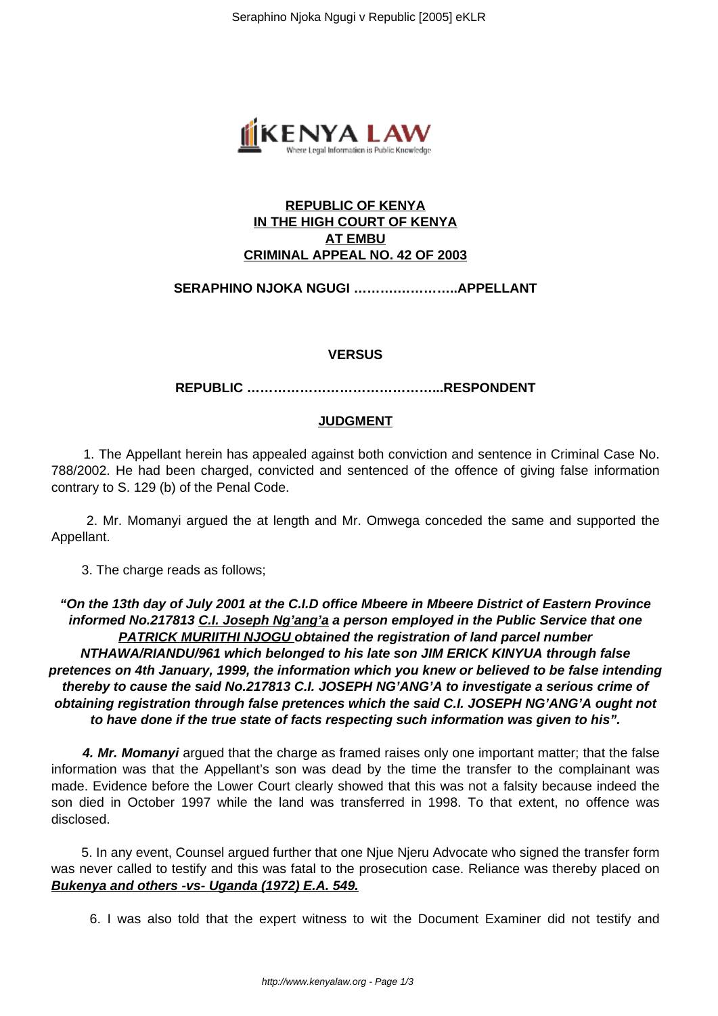

# **REPUBLIC OF KENYA IN THE HIGH COURT OF KENYA AT EMBU CRIMINAL APPEAL NO. 42 OF 2003**

# **SERAPHINO NJOKA NGUGI ……….…………..APPELLANT**

#### **VERSUS**

**REPUBLIC ……………………………………...RESPONDENT**

## **JUDGMENT**

 1. The Appellant herein has appealed against both conviction and sentence in Criminal Case No. 788/2002. He had been charged, convicted and sentenced of the offence of giving false information contrary to S. 129 (b) of the Penal Code.

 2. Mr. Momanyi argued the at length and Mr. Omwega conceded the same and supported the Appellant.

3. The charge reads as follows;

**"On the 13th day of July 2001 at the C.I.D office Mbeere in Mbeere District of Eastern Province informed No.217813 C.I. Joseph Ng'ang'a a person employed in the Public Service that one PATRICK MURIITHI NJOGU obtained the registration of land parcel number NTHAWA/RIANDU/961 which belonged to his late son JIM ERICK KINYUA through false pretences on 4th January, 1999, the information which you knew or believed to be false intending thereby to cause the said No.217813 C.I. JOSEPH NG'ANG'A to investigate a serious crime of obtaining registration through false pretences which the said C.I. JOSEPH NG'ANG'A ought not to have done if the true state of facts respecting such information was given to his".**

 **4. Mr. Momanyi** argued that the charge as framed raises only one important matter; that the false information was that the Appellant's son was dead by the time the transfer to the complainant was made. Evidence before the Lower Court clearly showed that this was not a falsity because indeed the son died in October 1997 while the land was transferred in 1998. To that extent, no offence was disclosed.

 5. In any event, Counsel argued further that one Njue Njeru Advocate who signed the transfer form was never called to testify and this was fatal to the prosecution case. Reliance was thereby placed on **Bukenya and others -vs- Uganda (1972) E.A. 549.**

6. I was also told that the expert witness to wit the Document Examiner did not testify and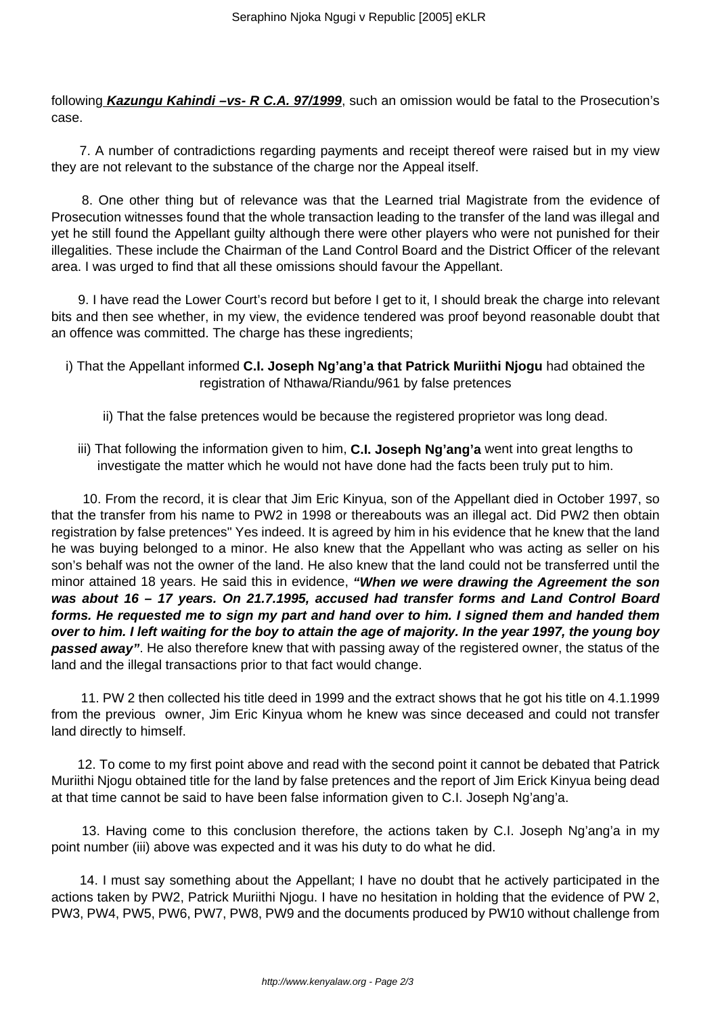following **Kazungu Kahindi –vs- R C.A. 97/1999**, such an omission would be fatal to the Prosecution's case.

 7. A number of contradictions regarding payments and receipt thereof were raised but in my view they are not relevant to the substance of the charge nor the Appeal itself.

 8. One other thing but of relevance was that the Learned trial Magistrate from the evidence of Prosecution witnesses found that the whole transaction leading to the transfer of the land was illegal and yet he still found the Appellant guilty although there were other players who were not punished for their illegalities. These include the Chairman of the Land Control Board and the District Officer of the relevant area. I was urged to find that all these omissions should favour the Appellant.

 9. I have read the Lower Court's record but before I get to it, I should break the charge into relevant bits and then see whether, in my view, the evidence tendered was proof beyond reasonable doubt that an offence was committed. The charge has these ingredients;

- i) That the Appellant informed **C.I. Joseph Ng'ang'a that Patrick Muriithi Njogu** had obtained the registration of Nthawa/Riandu/961 by false pretences
	- ii) That the false pretences would be because the registered proprietor was long dead.
	- iii) That following the information given to him, **C.I. Joseph Ng'ang'a** went into great lengths to investigate the matter which he would not have done had the facts been truly put to him.

 10. From the record, it is clear that Jim Eric Kinyua, son of the Appellant died in October 1997, so that the transfer from his name to PW2 in 1998 or thereabouts was an illegal act. Did PW2 then obtain registration by false pretences" Yes indeed. It is agreed by him in his evidence that he knew that the land he was buying belonged to a minor. He also knew that the Appellant who was acting as seller on his son's behalf was not the owner of the land. He also knew that the land could not be transferred until the minor attained 18 years. He said this in evidence, **"When we were drawing the Agreement the son was about 16 – 17 years. On 21.7.1995, accused had transfer forms and Land Control Board forms. He requested me to sign my part and hand over to him. I signed them and handed them over to him. I left waiting for the boy to attain the age of majority. In the year 1997, the young boy passed away"**. He also therefore knew that with passing away of the registered owner, the status of the land and the illegal transactions prior to that fact would change.

 11. PW 2 then collected his title deed in 1999 and the extract shows that he got his title on 4.1.1999 from the previous owner, Jim Eric Kinyua whom he knew was since deceased and could not transfer land directly to himself.

 12. To come to my first point above and read with the second point it cannot be debated that Patrick Muriithi Njogu obtained title for the land by false pretences and the report of Jim Erick Kinyua being dead at that time cannot be said to have been false information given to C.I. Joseph Ng'ang'a.

 13. Having come to this conclusion therefore, the actions taken by C.I. Joseph Ng'ang'a in my point number (iii) above was expected and it was his duty to do what he did.

 14. I must say something about the Appellant; I have no doubt that he actively participated in the actions taken by PW2, Patrick Muriithi Njogu. I have no hesitation in holding that the evidence of PW 2, PW3, PW4, PW5, PW6, PW7, PW8, PW9 and the documents produced by PW10 without challenge from